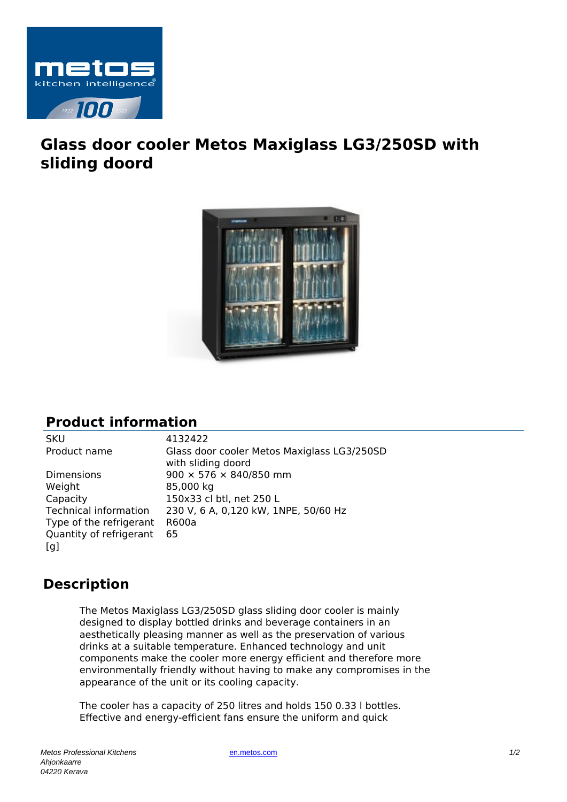

## **Glass door cooler Metos Maxiglass LG3/250SD with sliding doord**



## **Product information**

Dimensions 900  $\times$  576  $\times$  840/850 mm Weight 85,000 kg Capacity 150x33 cl btl, net 250 L Type of the refrigerant R600a Quantity of refrigerant  $[a]$ 65

SKU 4132422 Product name Glass door cooler Metos Maxiglass LG3/250SD with sliding doord Technical information 230 V, 6 A, 0,120 kW, 1NPE, 50/60 Hz

## **Description**

The Metos Maxiglass LG3/250SD glass sliding door cooler is mainly designed to display bottled drinks and beverage containers in an aesthetically pleasing manner as well as the preservation of various drinks at a suitable temperature. Enhanced technology and unit components make the cooler more energy efficient and therefore more environmentally friendly without having to make any compromises in the appearance of the unit or its cooling capacity.

The cooler has a capacity of 250 litres and holds 150 0.33 l bottles. Effective and energy-efficient fans ensure the uniform and quick